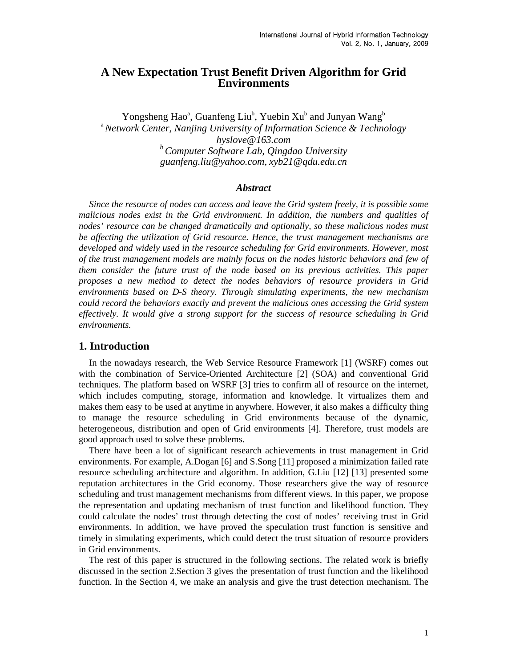# **A New Expectation Trust Benefit Driven Algorithm for Grid Environments**

Yongsheng Hao<sup>a</sup>, Guanfeng Liu<sup>b</sup>, Yuebin Xu<sup>b</sup> and Junyan Wang<sup>b</sup> <sup>a</sup>*Network Center, Nanjing University of Information Science & Technology hyslove@163.com b Computer Software Lab, Qingdao University guanfeng.liu@yahoo.com, xyb21@qdu.edu.cn* 

## *Abstract*

*Since the resource of nodes can access and leave the Grid system freely, it is possible some malicious nodes exist in the Grid environment. In addition, the numbers and qualities of nodes' resource can be changed dramatically and optionally, so these malicious nodes must be affecting the utilization of Grid resource. Hence, the trust management mechanisms are*  developed and widely used in the resource scheduling for Grid environments. However, most *of the trust management models are mainly focus on the nodes historic behaviors and few of them consider the future trust of the node based on its previous activities. This paper proposes a new method to detect the nodes behaviors of resource providers in Grid environments based on D-S theory. Through simulating experiments, the new mechanism could record the behaviors exactly and prevent the malicious ones accessing the Grid system effectively. It would give a strong support for the success of resource scheduling in Grid environments.* 

### **1. Introduction**

In the nowadays research, the Web Service Resource Framework [1] (WSRF) comes out with the combination of Service-Oriented Architecture [2] (SOA) and conventional Grid techniques. The platform based on WSRF [3] tries to confirm all of resource on the internet, which includes computing, storage, information and knowledge. It virtualizes them and makes them easy to be used at anytime in anywhere. However, it also makes a difficulty thing to manage the resource scheduling in Grid environments because of the dynamic, heterogeneous, distribution and open of Grid environments [4]. Therefore, trust models are good approach used to solve these problems.

There have been a lot of significant research achievements in trust management in Grid environments. For example, A.Dogan [6] and S.Song [11] proposed a minimization failed rate resource scheduling architecture and algorithm. In addition, G.Liu [12] [13] presented some reputation architectures in the Grid economy. Those researchers give the way of resource scheduling and trust management mechanisms from different views. In this paper, we propose the representation and updating mechanism of trust function and likelihood function. They could calculate the nodes' trust through detecting the cost of nodes' receiving trust in Grid environments. In addition, we have proved the speculation trust function is sensitive and timely in simulating experiments, which could detect the trust situation of resource providers in Grid environments.

The rest of this paper is structured in the following sections. The related work is briefly discussed in the section 2.Section 3 gives the presentation of trust function and the likelihood function. In the Section 4, we make an analysis and give the trust detection mechanism. The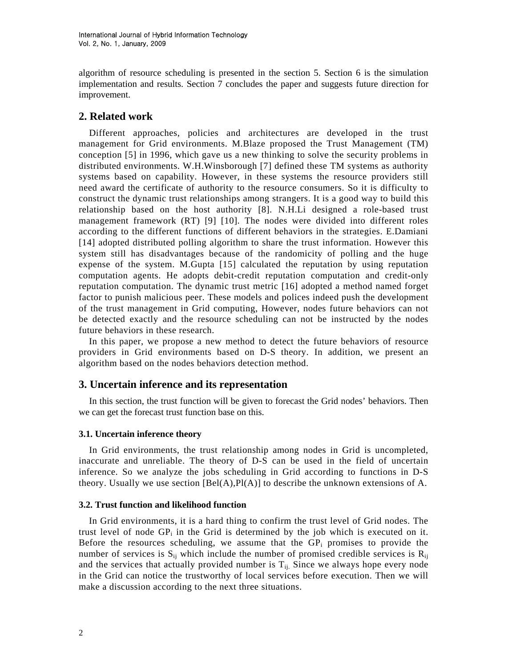algorithm of resource scheduling is presented in the section 5. Section 6 is the simulation implementation and results. Section 7 concludes the paper and suggests future direction for improvement.

# **2. Related work**

Different approaches, policies and architectures are developed in the trust management for Grid environments. M.Blaze proposed the Trust Management (TM) conception [5] in 1996, which gave us a new thinking to solve the security problems in distributed environments. W.H.Winsborough [7] defined these TM systems as authority systems based on capability. However, in these systems the resource providers still need award the certificate of authority to the resource consumers. So it is difficulty to construct the dynamic trust relationships among strangers. It is a good way to build this relationship based on the host authority [8]. N.H.Li designed a role-based trust management framework (RT) [9] [10]. The nodes were divided into different roles according to the different functions of different behaviors in the strategies. E.Damiani [14] adopted distributed polling algorithm to share the trust information. However this system still has disadvantages because of the randomicity of polling and the huge expense of the system. M.Gupta [15] calculated the reputation by using reputation computation agents. He adopts debit-credit reputation computation and credit-only reputation computation. The dynamic trust metric [16] adopted a method named forget factor to punish malicious peer. These models and polices indeed push the development of the trust management in Grid computing, However, nodes future behaviors can not be detected exactly and the resource scheduling can not be instructed by the nodes future behaviors in these research.

In this paper, we propose a new method to detect the future behaviors of resource providers in Grid environments based on D-S theory. In addition, we present an algorithm based on the nodes behaviors detection method.

## **3. Uncertain inference and its representation**

In this section, the trust function will be given to forecast the Grid nodes' behaviors. Then we can get the forecast trust function base on this.

## **3.1. Uncertain inference theory**

In Grid environments, the trust relationship among nodes in Grid is uncompleted, inaccurate and unreliable. The theory of D-S can be used in the field of uncertain inference. So we analyze the jobs scheduling in Grid according to functions in D-S theory. Usually we use section  $[Bel(A), Pl(A)]$  to describe the unknown extensions of A.

#### **3.2. Trust function and likelihood function**

In Grid environments, it is a hard thing to confirm the trust level of Grid nodes. The trust level of node  $GP_i$  in the Grid is determined by the job which is executed on it. Before the resources scheduling, we assume that the  $GP<sub>i</sub>$  promises to provide the number of services is  $S_{ii}$  which include the number of promised credible services is  $R_{ii}$ and the services that actually provided number is  $T_{ij}$ . Since we always hope every node in the Grid can notice the trustworthy of local services before execution. Then we will make a discussion according to the next three situations.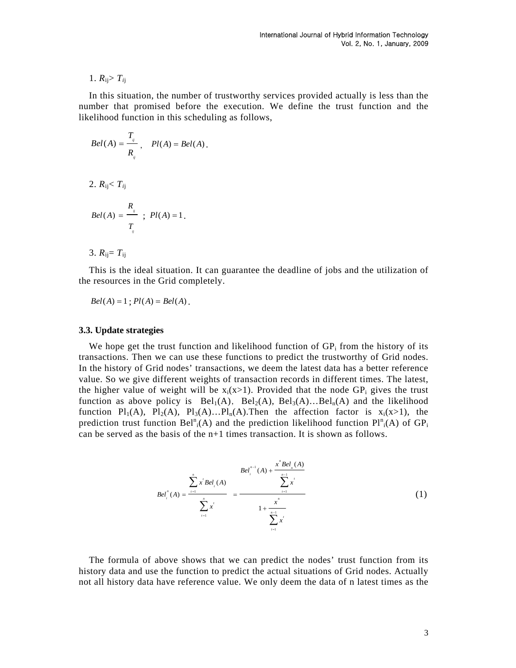## 1.  $R_{ij} > T_{ij}$

In this situation, the number of trustworthy services provided actually is less than the number that promised before the execution. We define the trust function and the likelihood function in this scheduling as follows,

$$
Bel(A) = \frac{T_{ij}}{R_{ij}}, \quad Pl(A) = Bel(A).
$$

2. *R*ij< *Ti*<sup>j</sup>

$$
Bel(A) = \frac{R_{ij}}{T_{ij}} ; Pl(A) = 1.
$$

3.  $R_{ij} = T_{ij}$ 

This is the ideal situation. It can guarantee the deadline of jobs and the utilization of the resources in the Grid completely.

$$
Bel(A) = 1
$$
;  $Pl(A) = Bel(A)$ .

### **3.3. Update strategies**

We hope get the trust function and likelihood function of  $GP<sub>i</sub>$  from the history of its transactions. Then we can use these functions to predict the trustworthy of Grid nodes. In the history of Grid nodes' transactions, we deem the latest data has a better reference value. So we give different weights of transaction records in different times. The latest, the higher value of weight will be  $x_i(x>1)$ . Provided that the node GP<sub>i</sub> gives the trust function as above policy is  $Bel_1(A)$ ,  $Bel_2(A)$ ,  $Bel_3(A)$ ... $Bel_n(A)$  and the likelihood function  $Pl_1(A)$ ,  $Pl_2(A)$ ,  $Pl_3(A)$ ... $Pl_n(A)$ . Then the affection factor is  $x_i(x>1)$ , the prediction trust function Bel<sup>n</sup><sub>i</sub>(A) and the prediction likelihood function  $Pl^{n}_{i}(A)$  of  $GP_{i}$ can be served as the basis of the  $n+1$  times transaction. It is shown as follows.

$$
Bel_{i}^{n}(A) = \frac{\sum_{i=1}^{n} x^{i} Bel_{i}(A)}{\sum_{i=1}^{n} x^{i}} = \frac{Bel_{i}^{n-1}(A) + \frac{x^{n} Bel_{i}(A)}{\sum_{i=1}^{n-1} x^{i}}}{1 + \frac{x^{n}}{\sum_{i=1}^{n} x^{i}}}
$$
(1)

The formula of above shows that we can predict the nodes' trust function from its history data and use the function to predict the actual situations of Grid nodes. Actually not all history data have reference value. We only deem the data of n latest times as the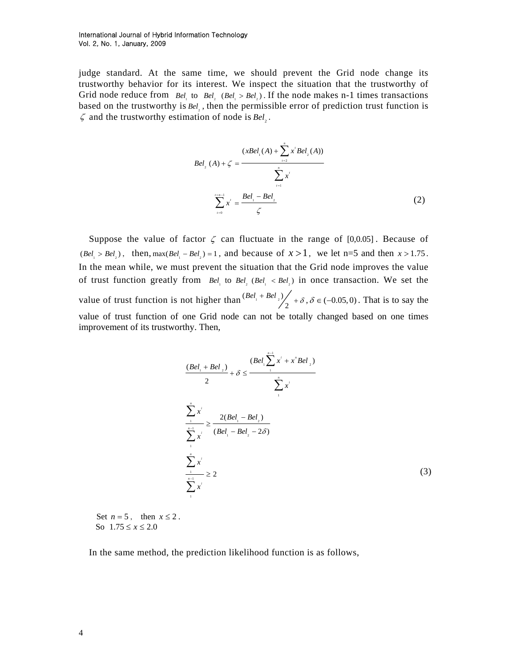judge standard. At the same time, we should prevent the Grid node change its trustworthy behavior for its interest. We inspect the situation that the trustworthy of Grid node reduce from  $Bel$  to  $Bel$  ( $Bel$   $> Bel$ ). If the node makes n-1 times transactions based on the trustworthy is  $Bel_1$ , then the permissible error of prediction trust function is  $\zeta$  and the trustworthy estimation of node is  $Bel_$ .

$$
Bel_{2}(A) + \zeta = \frac{(xBel_{1}(A) + \sum_{i=2}^{n} x^{i} Bel_{2}(A))}{\sum_{i=1}^{n} x^{i}}
$$

$$
\sum_{i=0}^{n} x^{i} = \frac{Bel_{1} - Bel_{2}}{\zeta}
$$
(2)

Suppose the value of factor  $\zeta$  can fluctuate in the range of [0,0.05]. Because of  $(Bel_1 > Bel_2)$ , then,  $max(Bel_1 - Bel_2) = 1$ , and because of  $x > 1$ , we let n=5 and then  $x > 1.75$ . In the mean while, we must prevent the situation that the Grid node improves the value of trust function greatly from  $Bel_1$  to  $Bel_2$  ( $Bel_1 < Bel_2$ ) in once transaction. We set the value of trust function is not higher than  $\frac{(Bel_1 + Bel_2)}{2}$  +  $\delta$ ,  $\delta \in (-0.05, 0)$ . That is to say the value of trust function of one Grid node can not be totally changed based on one times improvement of its trustworthy. Then,

$$
\frac{(Bel_{1} + Bel_{2})}{2} + \delta \le \frac{(Bel_{1} \sum_{i} x^{i} + x^{i} Bel_{2})}{\sum_{i} x^{i}}
$$
  

$$
\frac{\sum_{i}^{n} x^{i}}{\sum_{i} x^{i}} \ge \frac{2(Bel_{1} - Bel_{2})}{(Bel_{1} - Bel_{2} - 2\delta)}
$$
  

$$
\frac{\sum_{i}^{n} x^{i}}{\sum_{i} x^{i}} \ge 2
$$
  

$$
\sum_{i}^{n-1} x^{i}
$$
 (3)

Set  $n = 5$ , then  $x \le 2$ . So  $1.75 \le x \le 2.0$ 

In the same method, the prediction likelihood function is as follows,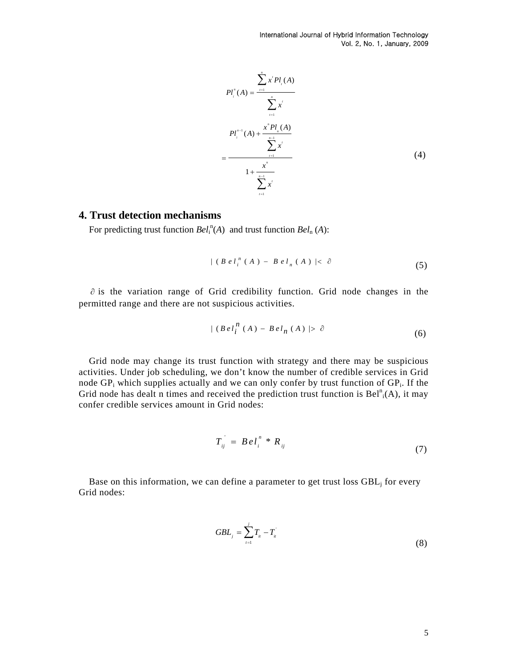International Journal of Hybrid Information Technology Vol. 2, No. 1, January, 2009

$$
Pl_i^n(A) = \frac{\sum_{i=1}^n x^i Pl_i(A)}{\sum_{i=1}^n x^i}
$$
  
= 
$$
\frac{Pl_i^{n-1}(A) + \frac{x^n Pl_n(A)}{\sum_{i=1}^{n-1} x^i}}{1 + \frac{x^n}{\sum_{i=1}^{n-1} x^i}}
$$
 (4)

# **4. Trust detection mechanisms**

For predicting trust function  $Bel_i^n(A)$  and trust function  $Bel_n(A)$ :

$$
| (B \, e \, l_i^n (A) - B \, e \, l_n (A) | < \partial \tag{5}
$$

∂ is the variation range of Grid credibility function. Grid node changes in the permitted range and there are not suspicious activities.

$$
|(Be l_i^n(A) - Be l_n(A))| > \partial
$$
\n(6)

Grid node may change its trust function with [strategy](http://dict.cnki.net/dict_result.aspx?r=1&t=strategy&searchword=%e7%ad%96%e7%95%a5%e7%9a%84) and there may be suspicious activities. Under job scheduling, we don't know the number of credible services in Grid node  $GP_i$  which supplies actually and we can only confer by trust function of  $GP_i$ . If the Grid node has dealt n times and received the prediction trust function is  $Bel<sup>n</sup><sub>i</sub>(A)$ , it may confer credible services amount in Grid nodes:

$$
T_{ij} = BeI_i^n * R_{ij}
$$
\n
$$
(7)
$$

Base on this information, we can define a parameter to get trust loss  $GBL<sub>j</sub>$  for every Grid nodes:

$$
GBL_{j} = \sum_{i=1}^{j} T_{ii} - T_{ii} \tag{8}
$$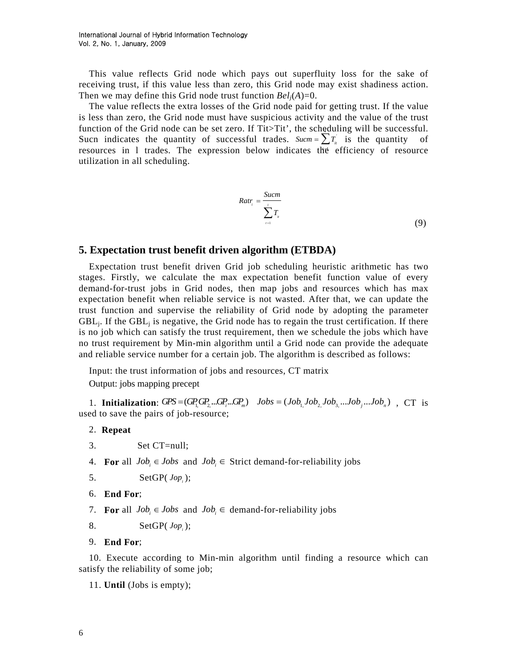This value reflects Grid node which pays out superfluity loss for the sake of receiving trust, if this value less than zero, this Grid node may exist shadiness action. Then we may define this Grid node trust function  $Bel<sub>i</sub>(A)=0$ .

Sucn indicates the [quantity](http://dict.cnki.net/dict_result.aspx?r=1&t=quantity&searchword=%e6%95%b0%e9%87%8f) of successful trades. *Sucm* =  $\sum T_i$  is the quantity of The value reflects the extra losses of the Grid node paid for getting trust. If the value is less than zero, the Grid node must have [suspicious activity](http://dict.cnki.net/dict_result.aspx?r=1&t=suspicious+activity&searchword=%e5%8f%af%e7%96%91%e8%a1%8c%e4%b8%ba) and the value of the trust function of the Grid node can be set zero. If Tit>Tit', the scheduling will be successful. resources in 1 trades. The expression below indicates the efficiency of resource utilization in all scheduling.

$$
Ratr_i = \frac{Sucm}{\sum_{i=1}^{i} T_{ii}}
$$
\n(9)

# **5. Expectation trust benefit driven algorithm (ETBDA)**

Expectation trust benefit driven Grid job scheduling heuristic arithmetic has two stages. Firstly, we calculate the max expectation benefit function value of every demand-for-trust jobs in Grid nodes, then map jobs and resources which has max expectation benefit when reliable service is not wasted. After that, we can update the trust function and supervise the reliability of Grid node by adopting the parameter  $GBL<sub>i</sub>$ . If the GBL<sub>i</sub> is negative, the Grid node has to regain the trust certification. If there is no job which can satisfy the trust requirement, then we schedule the jobs which have no trust requirement by Min-min algorithm until a Grid node can provide the adequate and reliable service number for a certain job. The algorithm is described as follows:

Input: the trust information of jobs and resources, CT matrix Output: jobs mapping precept

1. **Initialization**:  $GPS = (GP_1GP_2...GP_m)$   $Jobs = (Job_1Job_2...Job_3...Job_3...Job_n)$ , CT is used to save the pairs of job-resource;

### 2. **Repeat**

- 3. Set CT=null;
- 4. **For** all  $Job_i \in Jobs$  and  $Job_i \in Strict$  demand-for-reliability jobs

5. 
$$
\text{SetGP}(\text{Jop}_i);
$$

- 6. **End For**;
- 7. **For** all  $Job_i \in Jobs$  and  $Job_i \in demand-for-reliability jobs$

8. SetGP( *<sup>i</sup> Jop* );

9. **End For**;

10. Execute according to Min-min algorithm until finding a resource which can satisfy the reliability of some job;

11. **Until** (Jobs is empty);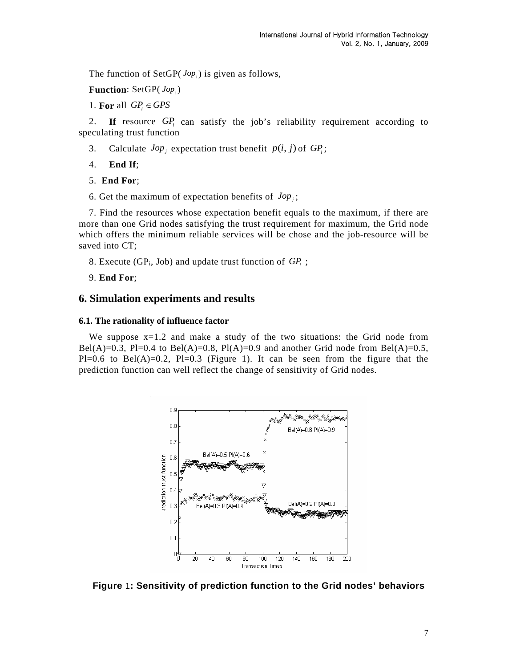The function of SetGP(*Jop*<sub>i</sub>) is given as follows,

Function: SetGP(*Jop*<sub>i</sub>)

1. **For** all  $GP$   $\in$  GPS

2. If resource *GP<sub>i</sub>* can satisfy the job's reliability requirement according to speculating trust function

3. Calculate  $Jop_j$  expectation trust benefit  $p(i, j)$  of  $GP_i$ ;

4. **End If**;

- 5. **End For**;
- 6. Get the maximum of expectation benefits of  $Jop_i$ ;

7. Find the resources whose expectation benefit equals to the maximum, if there are more than one Grid nodes satisfying the trust requirement for maximum, the Grid node which offers the minimum reliable services will be chose and the job-resource will be saved into CT;

8. Execute (GP<sub>i</sub>, Job) and update trust function of  $GP_i$ ;

9. **End For**;

## **6. Simulation experiments and results**

#### **6.1. The rationality of influence factor**

We suppose  $x=1.2$  and make a study of the two situations: the Grid node from Bel(A)=0.3, Pl=0.4 to Bel(A)=0.8, Pl(A)=0.9 and another Grid node from Bel(A)=0.5,  $Pl=0.6$  to Bel(A)=0.2, Pl=0.3 (Figure 1). It can be seen from the figure that the prediction function can well reflect the change of sensitivity of Grid nodes.



**Figure** 1**: Sensitivity of prediction function to the Grid nodes' behaviors**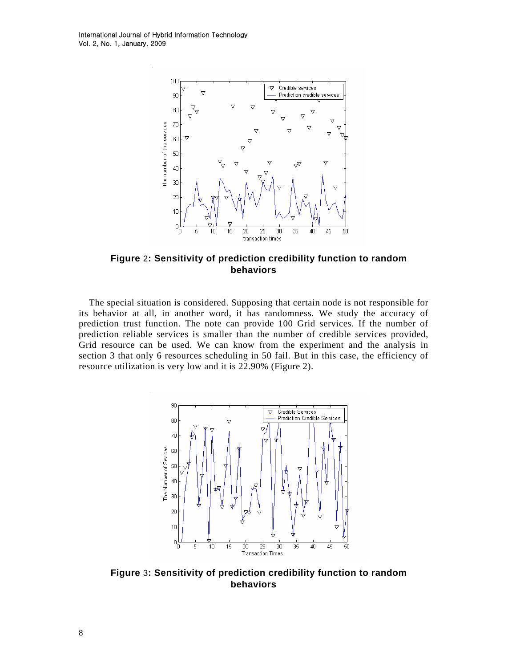

**Figure** 2**: Sensitivity of prediction credibility function to random behaviors** 

The special situation is considered. Supposing that certain node is not responsible for its behavior at all, in another word, it has randomness. We study the accuracy of prediction trust function. The note can provide 100 Grid services. If the number of prediction reliable services is smaller than the number of credible services provided, Grid resource can be used. We can know from the experiment and the analysis in section 3 that only 6 resources scheduling in 50 fail. But in this case, the efficiency of resource utilization is very low and it is 22.90% (Figure 2).



**Figure** 3**: Sensitivity of prediction credibility function to random behaviors**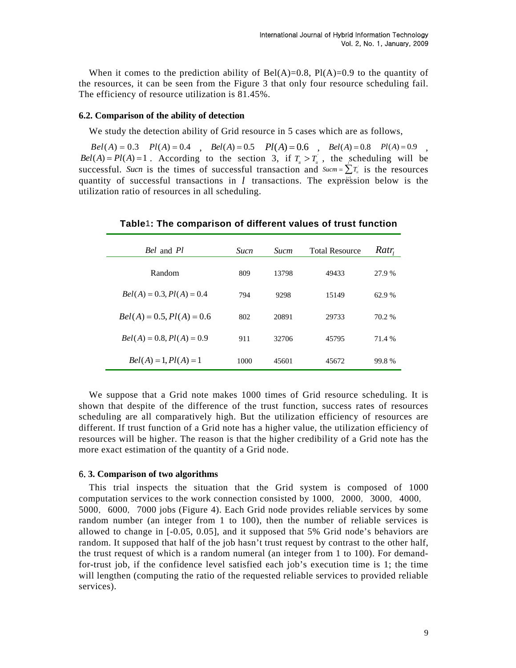When it comes to the prediction ability of  $Bel(A)=0.8$ ,  $Pl(A)=0.9$  to the quantity of the resources, it can be seen from the Figure 3 that only four resource scheduling fail. The efficiency of resource utilization is 81.45%.

### **6.2. Comparison of the ability of detection**

We study the detection ability of Grid resource in 5 cases which are as follows,

 $Bel(A) = 0.3$   $Pl(A) = 0.4$  ,  $Bel(A) = 0.5$   $Pl(A) = 0.6$  ,  $Bel(A) = 0.8$   $Pl(A) = 0.9$  ,  $Bel(A) = Pl(A) = 1$ . According to the section 3, if  $T_a > T_a$ , the scheduling will be successful. Such is the times of successful transaction and  $Sucm = \sum T_i$  is the resources quantity of successful transactions in *l* transactions. The expression below is the utilization ratio of resources in all scheduling.

| <i>Bel</i> and <i>Pl</i>    | <i>Sucn</i> | <b>Sucm</b> | <b>Total Resource</b> | Ratr   |
|-----------------------------|-------------|-------------|-----------------------|--------|
| Random                      | 809         | 13798       | 49433                 | 27.9 % |
| $Bel(A) = 0.3, Pl(A) = 0.4$ | 794         | 9298        | 15149                 | 62.9 % |
| $Bel(A) = 0.5, Pl(A) = 0.6$ | 802         | 20891       | 29733                 | 70.2 % |
| $Bel(A) = 0.8, Pl(A) = 0.9$ | 911         | 32706       | 45795                 | 71.4 % |
| $Bel(A) = 1, Pl(A) = 1$     | 1000        | 45601       | 45672                 | 99.8%  |

## **Table**1**: The comparison of different values of trust function**

We suppose that a Grid note makes 1000 times of Grid resource scheduling. It is shown that despite of the difference of the trust function, success rates of resources scheduling are all comparatively high. But the utilization efficiency of resources are different. If trust function of a Grid note has a higher value, the utilization efficiency of resources will be higher. The reason is that the higher credibility of a Grid note has the more exact estimation of the quantity of a Grid node.

#### 6.**3. Comparison of two algorithms**

This trial inspects the situation that the Grid system is composed of 1000 computation services to the work connection consisted by 1000, 2000, 3000, 4000, 5000,6000,7000 jobs (Figure 4). Each Grid node provides reliable services by some random number (an integer from 1 to 100), then the number of reliable services is allowed to change in [-0.05, 0.05], and it supposed that 5% Grid node's behaviors are random. It supposed that half of the job hasn't trust request by contrast to the other half, the trust request of which is a random numeral (an integer from 1 to 100). For demandfor-trust job, if the confidence level satisfied each job's execution time is 1; the time will lengthen (computing the ratio of the requested reliable services to provided reliable services).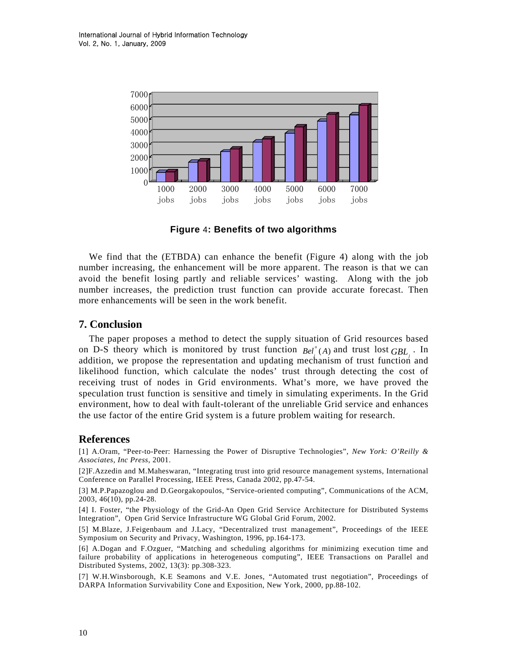

**Figure** 4**: Benefits of two algorithms** 

We find that the (ETBDA) can enhance the benefit (Figure 4) along with the job number increasing, the enhancement will be more apparent. The reason is that we can avoid the benefit losing partly and reliable services' wasting. Along with the job number increases, the prediction trust function can provide accurate forecast. Then more enhancements will be seen in the work benefit.

# **7. Conclusion**

The paper proposes a method to detect the supply situation of Grid resources based on D-S theory which is monitored by trust function  $Bel_i^{\pi}(A)$  and trust lost  $GBL_j$ . In addition, we propose the representation and updating mechanism of trust function and likelihood function, which calculate the nodes' trust through detecting the cost of receiving trust of nodes in Grid environments. What's more, we have proved the speculation trust function is sensitive and timely in simulating experiments. In the Grid environment, how to deal with fault-tolerant of the unreliable Grid service and enhances the use factor of the entire Grid system is a future problem waiting for research.

## **References**

[1] A.Oram, "Peer-to-Peer: Harnessing the Power of Disruptive Technologies", *New York: O'Reilly & Associates, Inc Press*, 2001.

[2]F.Azzedin and M.Maheswaran, "Integrating trust into grid resource management systems, International Conference on Parallel Processing, IEEE Press, Canada 2002, pp.47-54.

[3] M.P.Papazoglou and D.Georgakopoulos, "Service-oriented computing", Communications of the ACM, 2003, 46(10), pp.24-28.

[4] I. Foster, "the Physiology of the Grid-An Open Grid Service Architecture for Distributed Systems Integration", Open Grid Service Infrastructure WG Global Grid Forum, 2002.

[5] M.Blaze, J.Feigenbaum and J.Lacy, "Decentralized trust management", Proceedings of the IEEE Symposium on Security and Privacy, Washington, 1996, pp.164-173.

[6] A.Dogan and F.Ozguer, "Matching and scheduling algorithms for minimizing execution time and failure probability of applications in heterogeneous computing", IEEE Transactions on Parallel and Distributed Systems, 2002, 13(3): pp.308-323.

[7] W.H.Winsborough, K.E Seamons and V.E. Jones, "Automated trust negotiation", Proceedings of DARPA Information Survivability Cone and Exposition, New York, 2000, pp.88-102.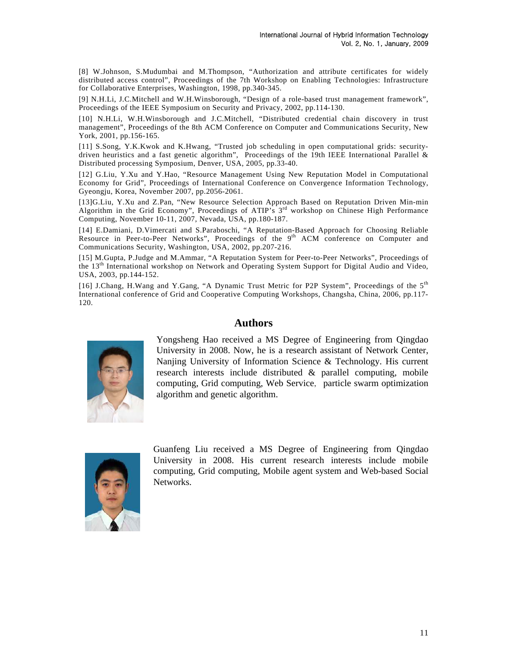[8] W.Johnson, S.Mudumbai and M.Thompson, "Authorization and attribute certificates for widely distributed access control", Proceedings of the 7th Workshop on Enabling Technologies: Infrastructure for Collaborative Enterprises, Washington, 1998, pp.340-345.

[9] N.H.Li, J.C.Mitchell and W.H.Winsborough, "Design of a role-based trust management framework", Proceedings of the IEEE Symposium on Security and Privacy, 2002, pp.114-130.

[10] N.H.Li, W.H.Winsborough and J.C.Mitchell, "Distributed credential chain discovery in trust management", Proceedings of the 8th ACM Conference on Computer and Communications Security, New York, 2001, pp.156-165.

[11] S.Song, Y.K.Kwok and K.Hwang, "Trusted job scheduling in open computational grids: securitydriven heuristics and a fast genetic algorithm", Proceedings of the 19th IEEE International Parallel & Distributed processing Symposium, Denver, USA, 2005, pp.33-40.

[12] G.Liu, Y.Xu and Y.Hao, "Resource Management Using New Reputation Model in Computational Economy for Grid", Proceedings of International Conference on Convergence Information Technology, Gyeongju, Korea, November 2007, pp.2056-2061.

[13]G.Liu, Y.Xu and Z.Pan, "New Resource Selection Approach Based on Reputation Driven Min-min Algorithm in the Grid Economy", Proceedings of ATIP's 3<sup>rd</sup> workshop on Chinese High Performance Computing, November 10-11, 2007, Nevada, USA, pp.180-187.

[14] E.Damiani, D.Vimercati and S.Paraboschi, "A Reputation-Based Approach for Choosing Reliable Resource in Peer-to-Peer Networks", Proceedings of the  $9<sup>th</sup>$  ACM conference on Computer and Communications Security, Washington, USA, 2002, pp.207-216.

[15] M.Gupta, P.Judge and M.Ammar, "A Reputation System for Peer-to-Peer Networks", Proceedings of the 13th International workshop on Network and Operating System Support for Digital Audio and Video, USA, 2003, pp.144-152.

[16] J.Chang, H.Wang and Y.Gang, "A Dynamic Trust Metric for P2P System", Proceedings of the 5th International conference of Grid and Cooperative Computing Workshops, Changsha, China, 2006, pp.117- 120.

## **Authors**



Yongsheng Hao received a MS Degree of Engineering from Qingdao University in 2008. Now, he is a research assistant of Network Center, Nanjing University of Information Science & Technology. His current research interests include distributed & parallel computing, mobile computing, Grid computing, Web Service, particle swarm optimization algorithm and genetic algorithm.



Guanfeng Liu received a MS Degree of Engineering from Qingdao University in 2008. His current research interests include mobile computing, Grid computing, Mobile agent system and Web-based Social Networks.